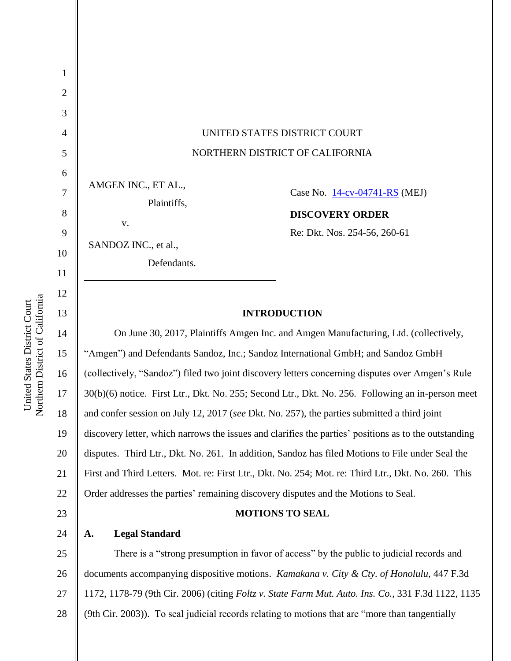| Northern District of California | $\overline{4}$                         | UNITED STATES DISTRICT COURT                                                                                                                                                                                                                                                                                                                                                                                                                                                                                                                                                                                                                                                                  |  |  |
|---------------------------------|----------------------------------------|-----------------------------------------------------------------------------------------------------------------------------------------------------------------------------------------------------------------------------------------------------------------------------------------------------------------------------------------------------------------------------------------------------------------------------------------------------------------------------------------------------------------------------------------------------------------------------------------------------------------------------------------------------------------------------------------------|--|--|
|                                 | 5                                      | NORTHERN DISTRICT OF CALIFORNIA                                                                                                                                                                                                                                                                                                                                                                                                                                                                                                                                                                                                                                                               |  |  |
|                                 | 6<br>7<br>8<br>9<br>10<br>11<br>12     | AMGEN INC., ET AL.,<br>Case No. 14-cv-04741-RS (MEJ)<br>Plaintiffs,<br><b>DISCOVERY ORDER</b><br>V.<br>Re: Dkt. Nos. 254-56, 260-61<br>SANDOZ INC., et al.,<br>Defendants.                                                                                                                                                                                                                                                                                                                                                                                                                                                                                                                    |  |  |
|                                 | 13                                     | <b>INTRODUCTION</b>                                                                                                                                                                                                                                                                                                                                                                                                                                                                                                                                                                                                                                                                           |  |  |
|                                 | 14<br>15<br>16<br>17<br>18<br>19<br>20 | On June 30, 2017, Plaintiffs Amgen Inc. and Amgen Manufacturing, Ltd. (collectively,<br>"Amgen") and Defendants Sandoz, Inc.; Sandoz International GmbH; and Sandoz GmbH<br>(collectively, "Sandoz") filed two joint discovery letters concerning disputes over Amgen's Rule<br>30(b)(6) notice. First Ltr., Dkt. No. 255; Second Ltr., Dkt. No. 256. Following an in-person meet<br>and confer session on July 12, 2017 (see Dkt. No. 257), the parties submitted a third joint<br>discovery letter, which narrows the issues and clarifies the parties' positions as to the outstanding<br>disputes. Third Ltr., Dkt. No. 261. In addition, Sandoz has filed Motions to File under Seal the |  |  |
|                                 | 21                                     | First and Third Letters. Mot. re: First Ltr., Dkt. No. 254; Mot. re: Third Ltr., Dkt. No. 260. This                                                                                                                                                                                                                                                                                                                                                                                                                                                                                                                                                                                           |  |  |
|                                 | 22                                     | Order addresses the parties' remaining discovery disputes and the Motions to Seal.                                                                                                                                                                                                                                                                                                                                                                                                                                                                                                                                                                                                            |  |  |
|                                 | 23                                     | <b>MOTIONS TO SEAL</b>                                                                                                                                                                                                                                                                                                                                                                                                                                                                                                                                                                                                                                                                        |  |  |

#### **A. Legal Standard**

24

25 26 27 28 There is a "strong presumption in favor of access" by the public to judicial records and documents accompanying dispositive motions. *Kamakana v. City & Cty. of Honolulu*, 447 F.3d 1172, 1178-79 (9th Cir. 2006) (citing *Foltz v. State Farm Mut. Auto. Ins. Co.*, 331 F.3d 1122, 1135 (9th Cir. 2003)). To seal judicial records relating to motions that are "more than tangentially

United States District Court United States District Court 1

2

3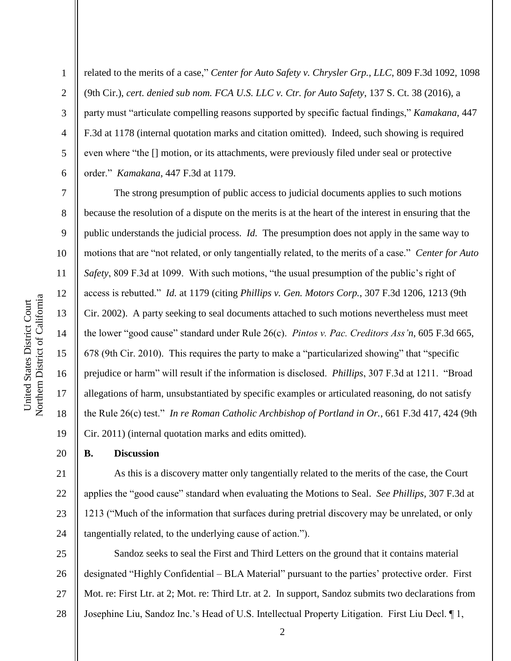Northern District of California Northern District of California United States District Court United States District Court

1

2

3

4

5

6

7

8

9

10

11

12

13

14

15

16

17

18

19

20

related to the merits of a case," *Center for Auto Safety v. Chrysler Grp., LLC*, 809 F.3d 1092, 1098 (9th Cir.), *cert. denied sub nom. FCA U.S. LLC v. Ctr. for Auto Safety*, 137 S. Ct. 38 (2016), a party must "articulate compelling reasons supported by specific factual findings," *Kamakana*, 447 F.3d at 1178 (internal quotation marks and citation omitted). Indeed, such showing is required even where "the  $\iint$  motion, or its attachments, were previously filed under seal or protective order.‖ *Kamakana*, 447 F.3d at 1179.

The strong presumption of public access to judicial documents applies to such motions because the resolution of a dispute on the merits is at the heart of the interest in ensuring that the public understands the judicial process. *Id.* The presumption does not apply in the same way to motions that are "not related, or only tangentially related, to the merits of a case." *Center for Auto Safety*, 809 F.3d at 1099. With such motions, "the usual presumption of the public's right of access is rebutted.‖ *Id.* at 1179 (citing *Phillips v. Gen. Motors Corp.*, 307 F.3d 1206, 1213 (9th Cir. 2002). A party seeking to seal documents attached to such motions nevertheless must meet the lower "good cause" standard under Rule 26(c). *Pintos v. Pac. Creditors Ass'n*, 605 F.3d 665, 678 (9th Cir. 2010). This requires the party to make a "particularized showing" that "specific prejudice or harm" will result if the information is disclosed. *Phillips*, 307 F.3d at 1211. "Broad allegations of harm, unsubstantiated by specific examples or articulated reasoning, do not satisfy the Rule 26(c) test.‖ *In re Roman Catholic Archbishop of Portland in Or.*, 661 F.3d 417, 424 (9th Cir. 2011) (internal quotation marks and edits omitted).

**B. Discussion**

21 22 23 24 As this is a discovery matter only tangentially related to the merits of the case, the Court applies the "good cause" standard when evaluating the Motions to Seal. *See Phillips*, 307 F.3d at 1213 ("Much of the information that surfaces during pretrial discovery may be unrelated, or only tangentially related, to the underlying cause of action.").

25 26 27 28 Sandoz seeks to seal the First and Third Letters on the ground that it contains material designated "Highly Confidential – BLA Material" pursuant to the parties' protective order. First Mot. re: First Ltr. at 2; Mot. re: Third Ltr. at 2. In support, Sandoz submits two declarations from Josephine Liu, Sandoz Inc.'s Head of U.S. Intellectual Property Litigation. First Liu Decl. ¶ 1,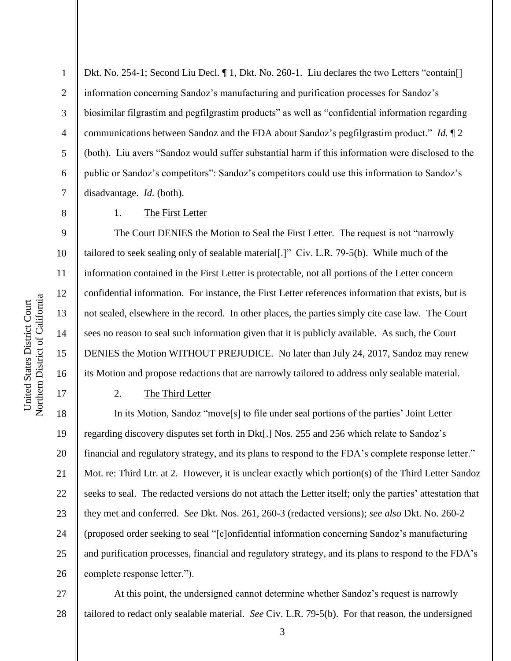Northern District of California Northern District of California United States District Court United States District Court

1

2

3

4

5

6

7

8

9

10

11

12

13

14

15

16

17

Dkt. No. 254-1; Second Liu Decl.  $\P$  1, Dkt. No. 260-1. Liu declares the two Letters "contain. information concerning Sandoz's manufacturing and purification processes for Sandoz's biosimilar filgrastim and pegfilgrastim products" as well as "confidential information regarding communications between Sandoz and the FDA about Sandoz's pegfilgrastim product." *Id.* 12 (both). Liu avers "Sandoz would suffer substantial harm if this information were disclosed to the public or Sandoz's competitors": Sandoz's competitors could use this information to Sandoz's disadvantage. *Id.* (both).

1. The First Letter

The Court DENIES the Motion to Seal the First Letter. The request is not "narrowly" tailored to seek sealing only of sealable material.  $\vert \cdot \vert$  Civ. L.R. 79-5(b). While much of the information contained in the First Letter is protectable, not all portions of the Letter concern confidential information. For instance, the First Letter references information that exists, but is not sealed, elsewhere in the record. In other places, the parties simply cite case law. The Court sees no reason to seal such information given that it is publicly available. As such, the Court DENIES the Motion WITHOUT PREJUDICE. No later than July 24, 2017, Sandoz may renew its Motion and propose redactions that are narrowly tailored to address only sealable material.

## 2. The Third Letter

18 19 20 21 22 23 24 25 26 In its Motion, Sandoz "move<sup>[s]</sup> to file under seal portions of the parties' Joint Letter regarding discovery disputes set forth in Dkt[.] Nos. 255 and 256 which relate to Sandoz's financial and regulatory strategy, and its plans to respond to the FDA's complete response letter." Mot. re: Third Ltr. at 2. However, it is unclear exactly which portion(s) of the Third Letter Sandoz seeks to seal. The redacted versions do not attach the Letter itself; only the parties' attestation that they met and conferred. *See* Dkt. Nos. 261, 260-3 (redacted versions); *see also* Dkt. No. 260-2 (proposed order seeking to seal "[c]onfidential information concerning Sandoz's manufacturing and purification processes, financial and regulatory strategy, and its plans to respond to the FDA's complete response letter.").

27 28 At this point, the undersigned cannot determine whether Sandoz's request is narrowly tailored to redact only sealable material. *See* Civ. L.R. 79-5(b). For that reason, the undersigned

3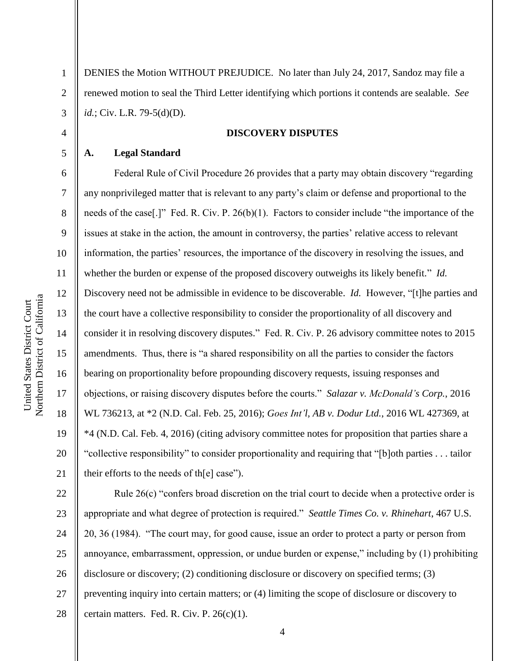1

2

3

4

5

6

7

8

9

10

11

12

13

14

15

16

17

18

19

20

21

DENIES the Motion WITHOUT PREJUDICE. No later than July 24, 2017, Sandoz may file a renewed motion to seal the Third Letter identifying which portions it contends are sealable. *See id.*; Civ. L.R. 79-5(d)(D).

## **DISCOVERY DISPUTES**

## **A. Legal Standard**

Federal Rule of Civil Procedure 26 provides that a party may obtain discovery "regarding any nonprivileged matter that is relevant to any party's claim or defense and proportional to the needs of the case [.]" Fed. R. Civ. P.  $26(b)(1)$ . Factors to consider include "the importance of the issues at stake in the action, the amount in controversy, the parties' relative access to relevant information, the parties' resources, the importance of the discovery in resolving the issues, and whether the burden or expense of the proposed discovery outweighs its likely benefit." *Id.* Discovery need not be admissible in evidence to be discoverable. *Id.* However, "[t]he parties and the court have a collective responsibility to consider the proportionality of all discovery and consider it in resolving discovery disputes." Fed. R. Civ. P. 26 advisory committee notes to 2015 amendments. Thus, there is "a shared responsibility on all the parties to consider the factors bearing on proportionality before propounding discovery requests, issuing responses and objections, or raising discovery disputes before the courts.‖ *Salazar v. McDonald's Corp.*, 2016 WL 736213, at \*2 (N.D. Cal. Feb. 25, 2016); *Goes Int'l, AB v. Dodur Ltd.*, 2016 WL 427369, at \*4 (N.D. Cal. Feb. 4, 2016) (citing advisory committee notes for proposition that parties share a "collective responsibility" to consider proportionality and requiring that "[b]oth parties . . . tailor their efforts to the needs of th $[e]$  case").

22 23 24 25 26 27 28 Rule  $26(c)$  "confers broad discretion on the trial court to decide when a protective order is appropriate and what degree of protection is required." *Seattle Times Co. v. Rhinehart*, 467 U.S. 20, 36 (1984). "The court may, for good cause, issue an order to protect a party or person from annoyance, embarrassment, oppression, or undue burden or expense," including by (1) prohibiting disclosure or discovery; (2) conditioning disclosure or discovery on specified terms; (3) preventing inquiry into certain matters; or (4) limiting the scope of disclosure or discovery to certain matters. Fed. R. Civ. P. 26(c)(1).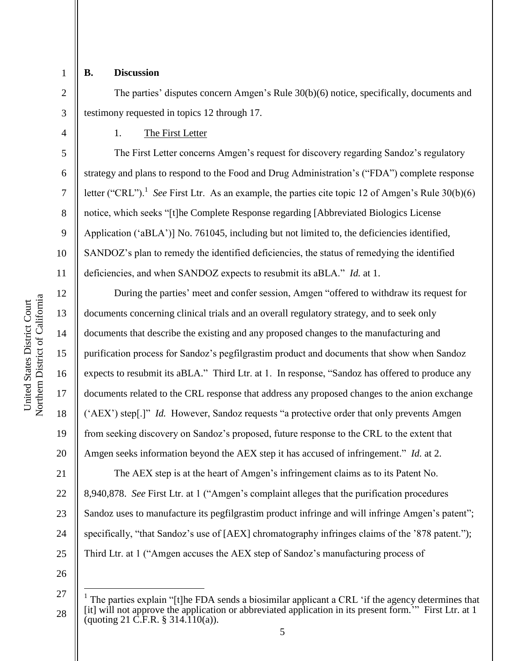1 2

3

4

5

6

7

8

9

10

11

12

13

14

15

16

17

18

19

20

# **B. Discussion**

The parties' disputes concern Amgen's Rule 30(b)(6) notice, specifically, documents and testimony requested in topics 12 through 17.

1. The First Letter

The First Letter concerns Amgen's request for discovery regarding Sandoz's regulatory strategy and plans to respond to the Food and Drug Administration's ("FDA") complete response letter ("CRL").<sup>1</sup> See First Ltr. As an example, the parties cite topic 12 of Amgen's Rule  $30(b)(6)$ notice, which seeks "[t]he Complete Response regarding [Abbreviated Biologics License Application ('aBLA')] No. 761045, including but not limited to, the deficiencies identified, SANDOZ's plan to remedy the identified deficiencies, the status of remedying the identified deficiencies, and when SANDOZ expects to resubmit its aBLA." *Id.* at 1.

During the parties' meet and confer session, Amgen "offered to withdraw its request for documents concerning clinical trials and an overall regulatory strategy, and to seek only documents that describe the existing and any proposed changes to the manufacturing and purification process for Sandoz's pegfilgrastim product and documents that show when Sandoz expects to resubmit its aBLA." Third Ltr. at 1. In response, "Sandoz has offered to produce any documents related to the CRL response that address any proposed changes to the anion exchange ('AEX') step[.]" *Id.* However, Sandoz requests "a protective order that only prevents Amgen from seeking discovery on Sandoz's proposed, future response to the CRL to the extent that Amgen seeks information beyond the AEX step it has accused of infringement." *Id.* at 2.

21 22 23 24 25 The AEX step is at the heart of Amgen's infringement claims as to its Patent No. 8,940,878. *See* First Ltr. at 1 ("Amgen's complaint alleges that the purification procedures Sandoz uses to manufacture its pegfilgrastim product infringe and will infringe Amgen's patent"; specifically, "that Sandoz's use of  $[AEX]$  chromatography infringes claims of the '878 patent."); Third Ltr. at 1 ("Amgen accuses the AEX step of Sandoz's manufacturing process of

26

 $\overline{a}$ 

<sup>27</sup> 28 1 The parties explain "[t]he FDA sends a biosimilar applicant a CRL 'if the agency determines that [it] will not approve the application or abbreviated application in its present form.<sup>30</sup> First Ltr. at 1  $\frac{1}{2}$  (quoting 21 C.F.R. § 314.110(a)).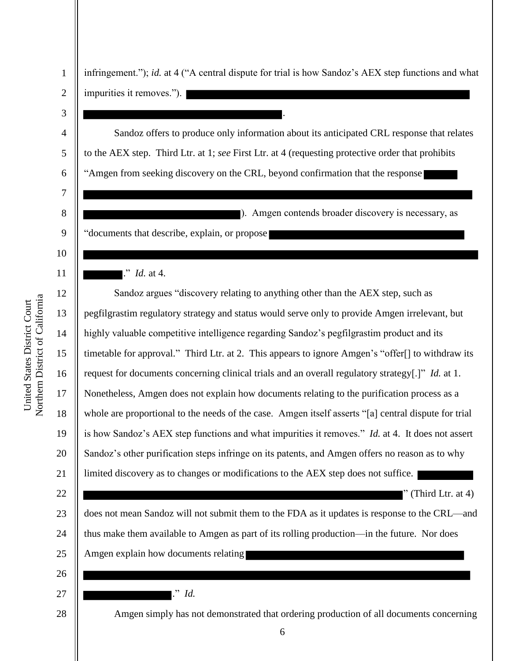| Jnited States District Court | <b>Jorthern District of California</b> |  |
|------------------------------|----------------------------------------|--|
|                              |                                        |  |

| 1              | infringement."); id. at 4 ("A central dispute for trial is how Sandoz's AEX step functions and what  |
|----------------|------------------------------------------------------------------------------------------------------|
| $\overline{2}$ | impurities it removes.").                                                                            |
| 3              |                                                                                                      |
| $\overline{4}$ | Sandoz offers to produce only information about its anticipated CRL response that relates            |
| 5              | to the AEX step. Third Ltr. at 1; see First Ltr. at 4 (requesting protective order that prohibits    |
| 6              | "Amgen from seeking discovery on the CRL, beyond confirmation that the response                      |
| $\tau$         |                                                                                                      |
| 8              | ). Amgen contends broader discovery is necessary, as                                                 |
| 9              | "documents that describe, explain, or propose                                                        |
| 10             |                                                                                                      |
| 11             | $\therefore$ <i>Id.</i> at 4.                                                                        |
| 12             | Sandoz argues "discovery relating to anything other than the AEX step, such as                       |
| 13             | pegfilgrastim regulatory strategy and status would serve only to provide Amgen irrelevant, but       |
| 14             | highly valuable competitive intelligence regarding Sandoz's pegfilgrastim product and its            |
| 15             | timetable for approval." Third Ltr. at 2. This appears to ignore Amgen's "offer[] to withdraw its    |
| 16             | request for documents concerning clinical trials and an overall regulatory strategy[.]" Id. at 1.    |
| 17             | Nonetheless, Amgen does not explain how documents relating to the purification process as a          |
| 18             | whole are proportional to the needs of the case. Amgen itself asserts "[a] central dispute for trial |
| 19             | is how Sandoz's AEX step functions and what impurities it removes." Id. at 4. It does not assert     |
| 20             | Sandoz's other purification steps infringe on its patents, and Amgen offers no reason as to why      |
| 21             | limited discovery as to changes or modifications to the AEX step does not suffice.                   |
| 22             | (Third Ltr. at 4)                                                                                    |
| 23             | does not mean Sandoz will not submit them to the FDA as it updates is response to the CRL—and        |
| 24             | thus make them available to Amgen as part of its rolling production—in the future. Nor does          |
| 25             | Amgen explain how documents relating                                                                 |
| 26             |                                                                                                      |
| 27             | $\therefore$ Id.                                                                                     |
| 28             | Amgen simply has not demonstrated that ordering production of all documents concerning               |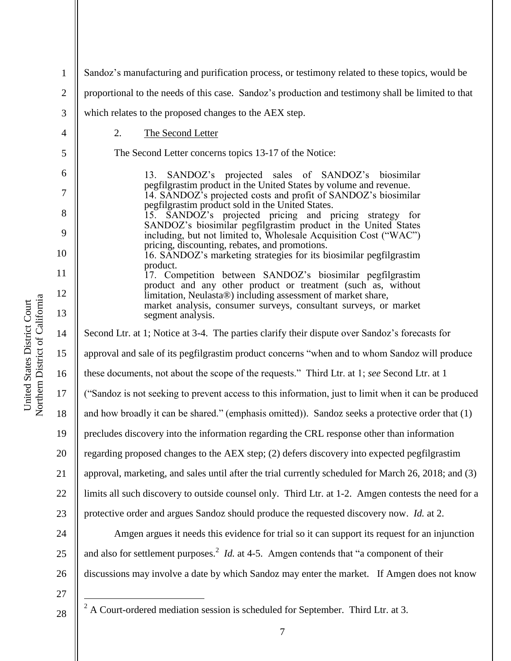1 2 3 4 5 6 7 8 9 10 11 12 13 14 15 16 17 18 19 20 21 22 23 24 25 26 27 Sandoz's manufacturing and purification process, or testimony related to these topics, would be proportional to the needs of this case. Sandoz's production and testimony shall be limited to that which relates to the proposed changes to the AEX step. 2. The Second Letter The Second Letter concerns topics 13-17 of the Notice: 13. SANDOZ's projected sales of SANDOZ's biosimilar pegfilgrastim product in the United States by volume and revenue. 14. SANDOZ's projected costs and profit of SANDOZ's biosimilar pegfilgrastim product sold in the United States. 15. SANDOZ's projected pricing and pricing strategy for SANDOZ's biosimilar pegfilgrastim product in the United States including, but not limited to, Wholesale Acquisition Cost ("WAC") pricing, discounting, rebates, and promotions. 16. SANDOZ's marketing strategies for its biosimilar pegfilgrastim product. 17. Competition between SANDOZ's biosimilar pegfilgrastim product and any other product or treatment (such as, without limitation, Neulasta®) including assessment of market share, market analysis, consumer surveys, consultant surveys, or market segment analysis. Second Ltr. at 1; Notice at 3-4. The parties clarify their dispute over Sandoz's forecasts for approval and sale of its pegfilgrastim product concerns "when and to whom Sandoz will produce these documents, not about the scope of the requests.‖ Third Ltr. at 1; *see* Second Ltr. at 1 (―Sandoz is not seeking to prevent access to this information, just to limit when it can be produced and how broadly it can be shared." (emphasis omitted)). Sandoz seeks a protective order that  $(1)$ precludes discovery into the information regarding the CRL response other than information regarding proposed changes to the AEX step; (2) defers discovery into expected pegfilgrastim approval, marketing, and sales until after the trial currently scheduled for March 26, 2018; and (3) limits all such discovery to outside counsel only. Third Ltr. at 1-2. Amgen contests the need for a protective order and argues Sandoz should produce the requested discovery now. *Id.* at 2. Amgen argues it needs this evidence for trial so it can support its request for an injunction and also for settlement purposes.<sup>2</sup> *Id.* at 4-5. Amgen contends that "a component of their discussions may involve a date by which Sandoz may enter the market. If Amgen does not know  $\overline{a}$ 

Northern District of California Northern District of California United States District Court United States District Court

 $2^2$  A Court-ordered mediation session is scheduled for September. Third Ltr. at 3.

28